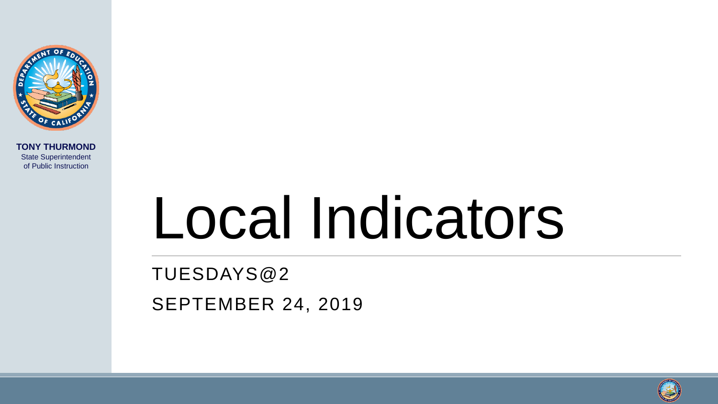

**TONY THURMOND** State Superintendent of Public Instruction

# Local Indicators

TUESDAYS@2 SEPTEMBER 24, 2019

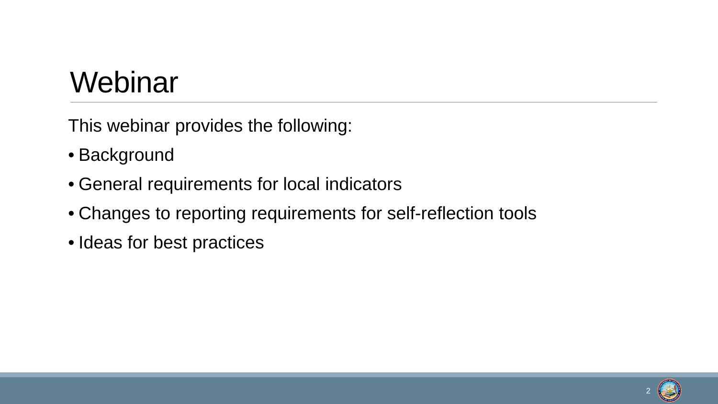#### **Webinar**

This webinar provides the following:

- Background
- General requirements for local indicators
- Changes to reporting requirements for self-reflection tools
- Ideas for best practices

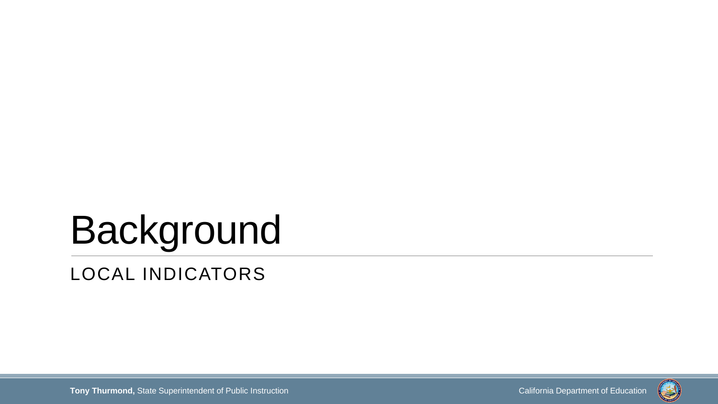## Background LOCAL INDICATORS

**Tony Thurmond,** State Superintendent of Public Instruction California Department of Education California Department of Education

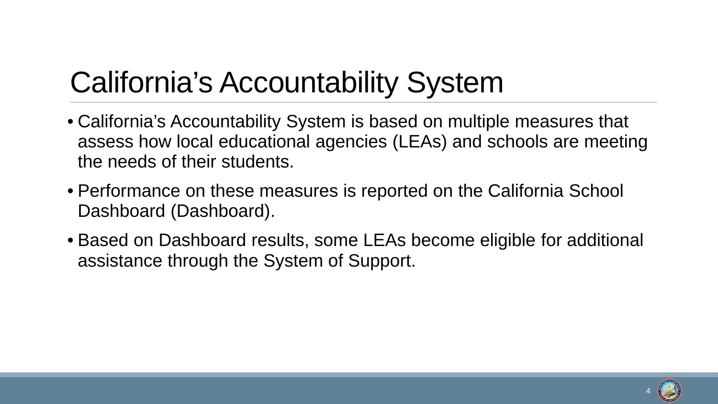## California's Accountability System

- California's Accountability System is based on multiple measures that assess how local educational agencies (LEAs) and schools are meeting the needs of their students.
- Performance on these measures is reported on the California School Dashboard (Dashboard).
- Based on Dashboard results, some LEAs become eligible for additional assistance through the System of Support.

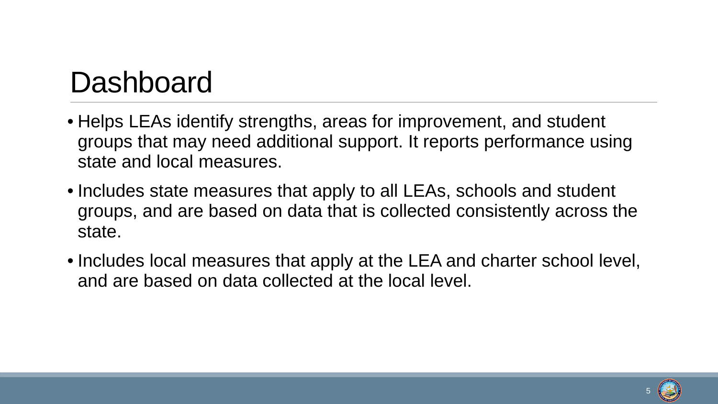#### Dashboard

- Helps LEAs identify strengths, areas for improvement, and student groups that may need additional support. It reports performance using state and local measures.
- Includes state measures that apply to all LEAs, schools and student groups, and are based on data that is collected consistently across the state.
- Includes local measures that apply at the LEA and charter school level, and are based on data collected at the local level.

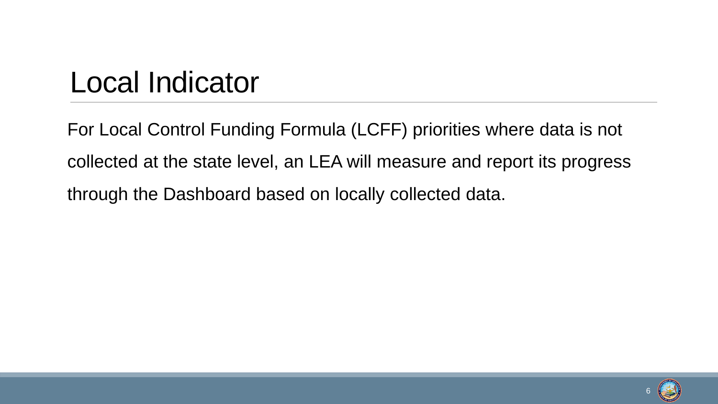#### Local Indicator

For Local Control Funding Formula (LCFF) priorities where data is not collected at the state level, an LEA will measure and report its progress through the Dashboard based on locally collected data.

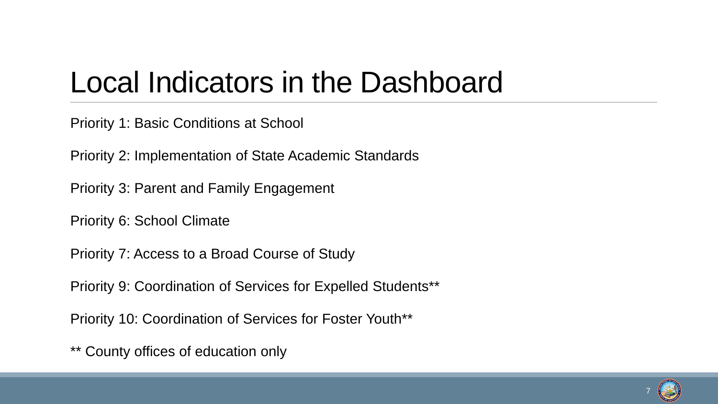#### Local Indicators in the Dashboard

Priority 1: Basic Conditions at School

Priority 2: Implementation of State Academic Standards

Priority 3: Parent and Family Engagement

Priority 6: School Climate

Priority 7: Access to a Broad Course of Study

Priority 9: Coordination of Services for Expelled Students\*\*

Priority 10: Coordination of Services for Foster Youth\*\*

\*\* County offices of education only

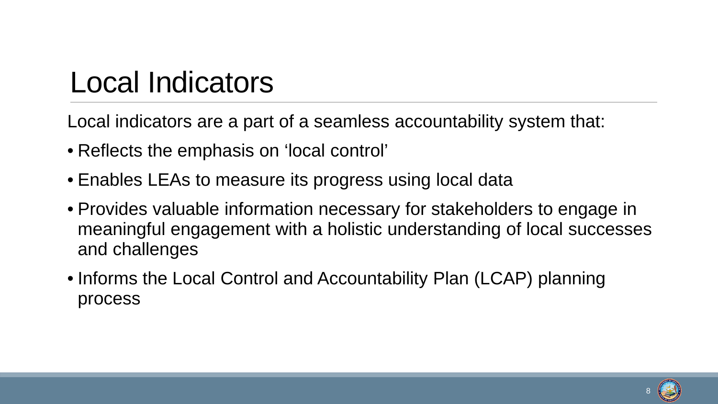#### Local Indicators

Local indicators are a part of a seamless accountability system that:

- Reflects the emphasis on 'local control'
- Enables LEAs to measure its progress using local data •
- Provides valuable information necessary for stakeholders to engage in meaningful engagement with a holistic understanding of local successes and challenges
- Informs the Local Control and Accountability Plan (LCAP) planning process



8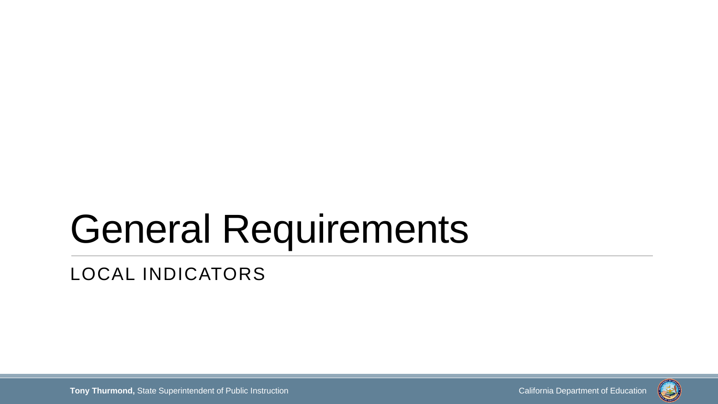## General Requirements

LOCAL INDICATORS

**Tony Thurmond,** State Superintendent of Public Instruction California Department of Education California Department of Education

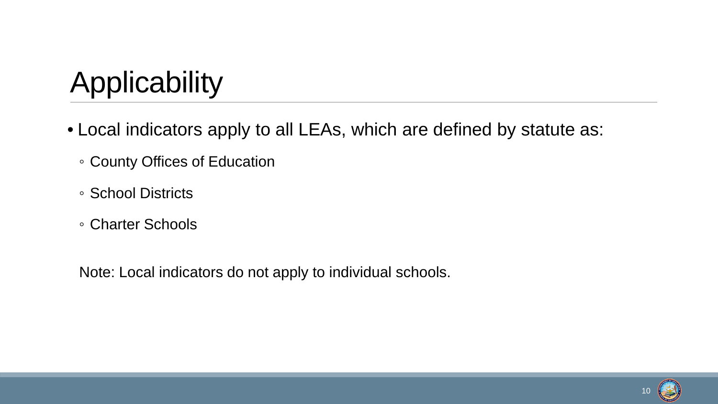## Applicability

- Local indicators apply to all LEAs, which are defined by statute as:
	- County Offices of Education
	- School Districts
	- Charter Schools

Note: Local indicators do not apply to individual schools.

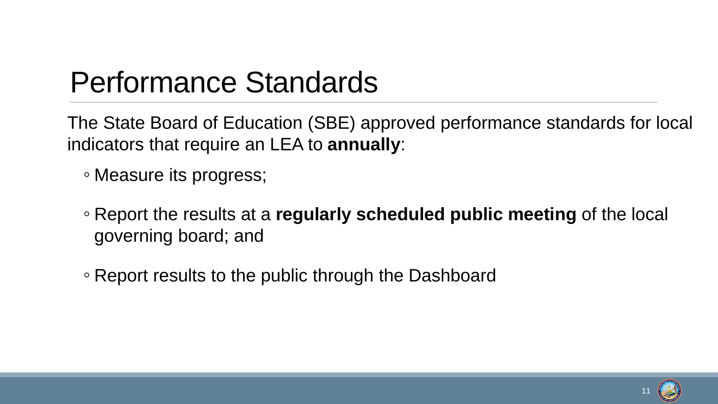#### Performance Standards

The State Board of Education (SBE) approved performance standards for local indicators that require an LEA to **annually**:

◦ Measure its progress;

- Report the results at a **regularly scheduled public meeting** of the local governing board; and
- Report results to the public through the Dashboard

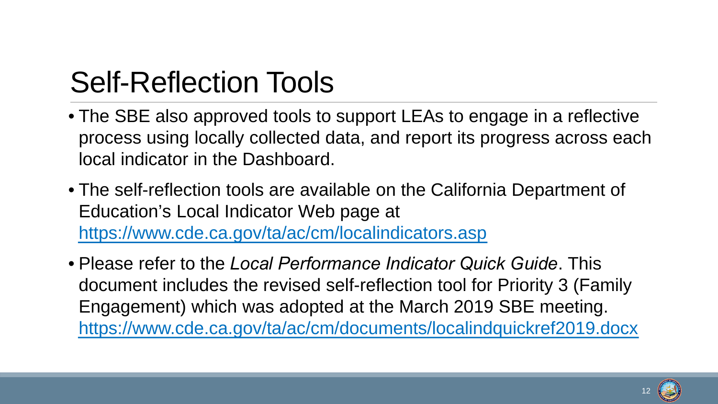## Self-Reflection Tools

- The SBE also approved tools to support LEAs to engage in a reflective process using locally collected data, and report its progress across each local indicator in the Dashboard.
- The self-reflection tools are available on the California Department of Education's Local Indicator Web page at <https://www.cde.ca.gov/ta/ac/cm/localindicators.asp>
- Please refer to the *Local Performance Indicator Quick Guide*. This document includes the revised self-reflection tool for Priority 3 (Family Engagement) which was adopted at the March 2019 SBE meeting. <https://www.cde.ca.gov/ta/ac/cm/documents/localindquickref2019.docx>



12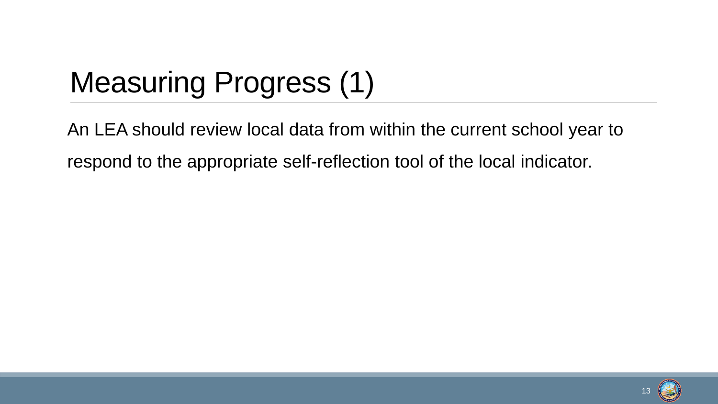## Measuring Progress (1)

An LEA should review local data from within the current school year to respond to the appropriate self-reflection tool of the local indicator.

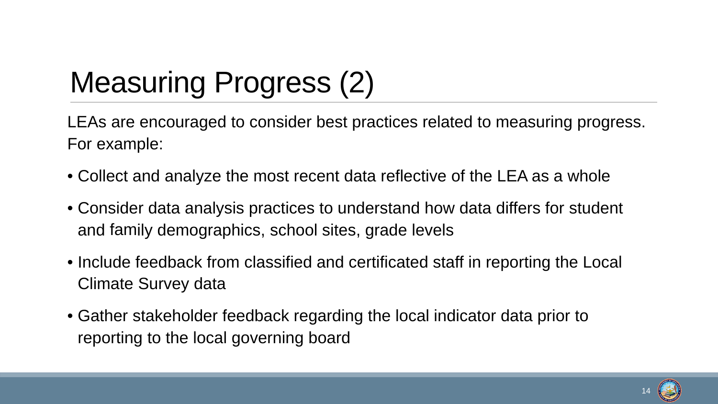## Measuring Progress (2)

LEAs are encouraged to consider best practices related to measuring progress. For example:

- Collect and analyze the most recent data reflective of the LEA as a whole
- Consider data analysis practices to understand how data differs for student and family demographics, school sites, grade levels
- Include feedback from classified and certificated staff in reporting the Local Climate Survey data
- Gather stakeholder feedback regarding the local indicator data prior to reporting to the local governing board

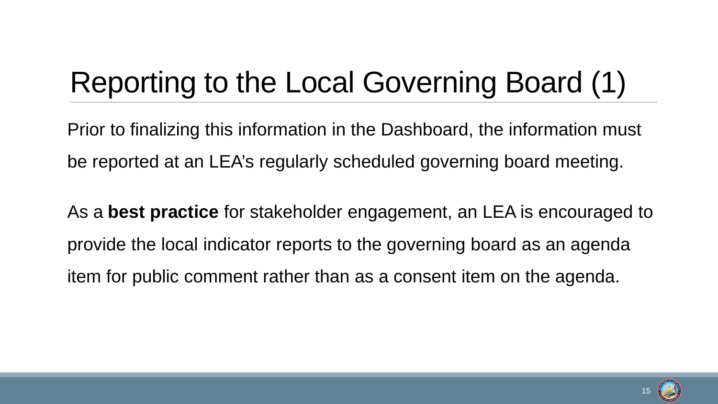## Reporting to the Local Governing Board (1)

Prior to finalizing this information in the Dashboard, the information must be reported at an LEA's regularly scheduled governing board meeting.

As a **best practice** for stakeholder engagement, an LEA is encouraged to provide the local indicator reports to the governing board as an agenda item for public comment rather than as a consent item on the agenda.

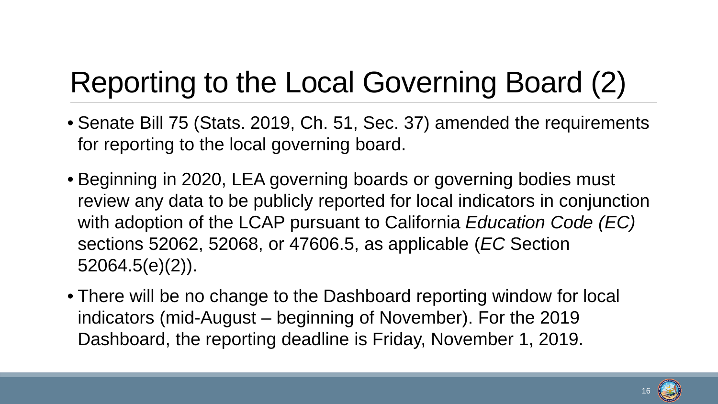## Reporting to the Local Governing Board (2)

- Senate Bill 75 (Stats. 2019, Ch. 51, Sec. 37) amended the requirements for reporting to the local governing board.
- Beginning in 2020, LEA governing boards or governing bodies must review any data to be publicly reported for local indicators in conjunction with adoption of the LCAP pursuant to California *Education Code (EC)*  sections 52062, 52068, or 47606.5, as applicable (*EC* Section 52064.5(e)(2)).
- There will be no change to the Dashboard reporting window for local •indicators (mid-August – beginning of November). For the 2019 Dashboard, the reporting deadline is Friday, November 1, 2019.

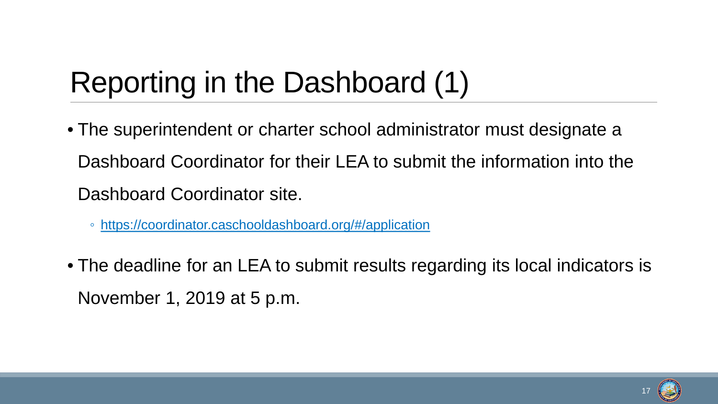## Reporting in the Dashboard (1)

- The superintendent or charter school administrator must designate a Dashboard Coordinator for their LEA to submit the information into the Dashboard Coordinator site.
	- <https://coordinator.caschooldashboard.org/#/application>
- The deadline for an LEA to submit results regarding its local indicators is November 1, 2019 at 5 p.m.

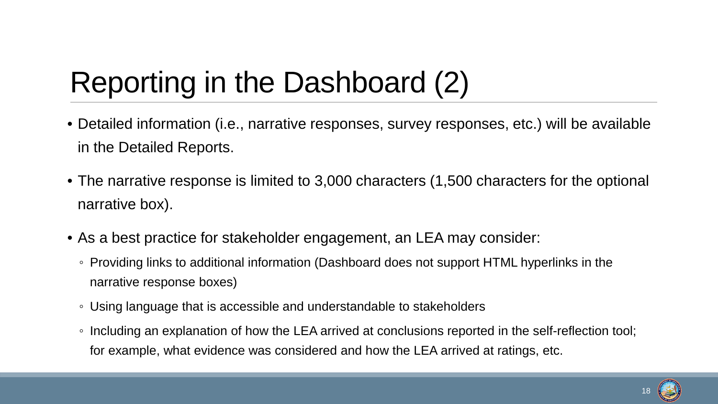## Reporting in the Dashboard (2)

- Detailed information (i.e., narrative responses, survey responses, etc.) will be available in the Detailed Reports.
- The narrative response is limited to 3,000 characters (1,500 characters for the optional narrative box).
- As a best practice for stakeholder engagement, an LEA may consider:
	- Providing links to additional information (Dashboard does not support HTML hyperlinks in the narrative response boxes)
	- Using language that is accessible and understandable to stakeholders
	- Including an explanation of how the LEA arrived at conclusions reported in the self-reflection tool; for example, what evidence was considered and how the LEA arrived at ratings, etc.

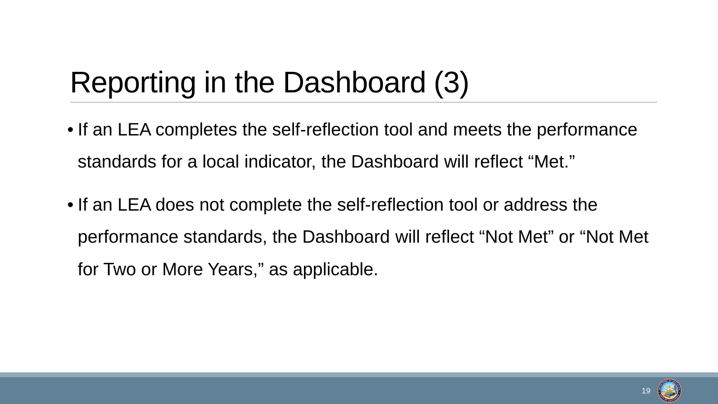## Reporting in the Dashboard (3)

- If an LEA completes the self-reflection tool and meets the performance standards for a local indicator, the Dashboard will reflect "Met."
- If an LEA does not complete the self-reflection tool or address the performance standards, the Dashboard will reflect "Not Met" or "Not Met for Two or More Years," as applicable.

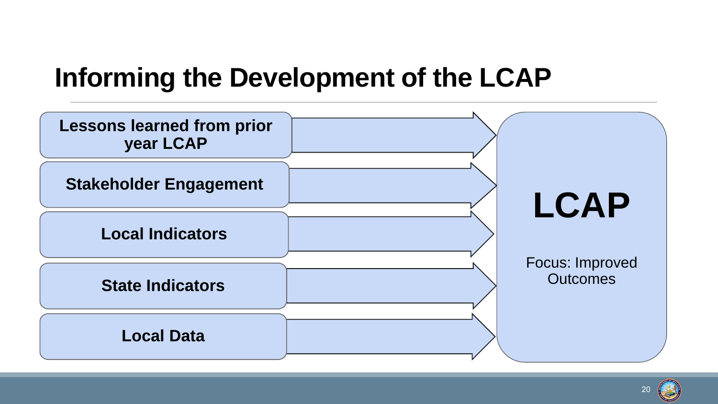#### **Informing the Development of the LCAP**



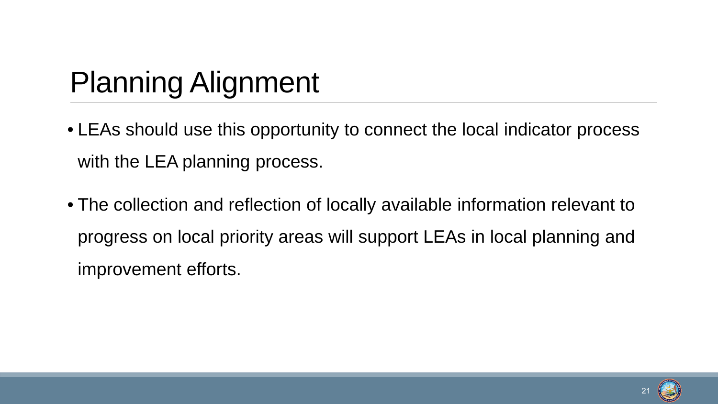## Planning Alignment

- LEAs should use this opportunity to connect the local indicator process with the LEA planning process.
- The collection and reflection of locally available information relevant to progress on local priority areas will support LEAs in local planning and improvement efforts.